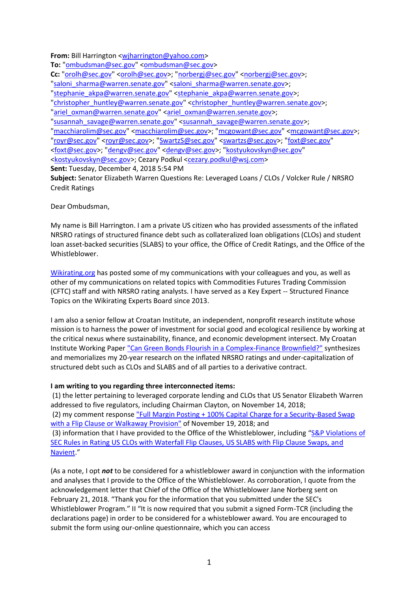**From:** Bill Harrington [<wjharrington@yahoo.com>](mailto:wjharrington@yahoo.com)

To: ["ombudsman@sec.gov"](mailto:ombudsman@sec.gov) [<ombudsman@sec.gov>](mailto:ombudsman@sec.gov) **Cc:** ["orolh@sec.gov"](mailto:orolh@sec.gov) [<orolh@sec.gov>](mailto:orolh@sec.gov); ["norbergj@sec.gov"](mailto:norbergj@sec.gov) [<norbergj@sec.gov>](mailto:norbergj@sec.gov); ["saloni\\_sharma@warren.senate.gov"](mailto:saloni_sharma@warren.senate.gov) [<saloni\\_sharma@warren.senate.gov>](mailto:saloni_sharma@warren.senate.gov); ["stephanie\\_akpa@warren.senate.gov"](mailto:stephanie_akpa@warren.senate.gov) [<stephanie\\_akpa@warren.senate.gov>](mailto:stephanie_akpa@warren.senate.gov); ["christopher\\_huntley@warren.senate.gov"](mailto:christopher_huntley@warren.senate.gov) [<christopher\\_huntley@warren.senate.gov>](mailto:christopher_huntley@warren.senate.gov); ["ariel\\_oxman@warren.senate.gov"](mailto:ariel_oxman@warren.senate.gov) [<ariel\\_oxman@warren.senate.gov>](mailto:ariel_oxman@warren.senate.gov); ["susannah\\_savage@warren.senate.gov"](mailto:susannah_savage@warren.senate.gov) [<susannah\\_savage@warren.senate.gov>](mailto:susannah_savage@warren.senate.gov); ["macchiarolim@sec.gov"](mailto:macchiarolim@sec.gov) [<macchiarolim@sec.gov>](mailto:macchiarolim@sec.gov); ["mcgowant@sec.gov"](mailto:mcgowant@sec.gov) [<mcgowant@sec.gov>](mailto:mcgowant@sec.gov); ["royr@sec.gov"](mailto:royr@sec.gov) [<royr@sec.gov>](mailto:royr@sec.gov); ["SwartzS@sec.gov"](mailto:SwartzS@sec.gov) [<swartzs@sec.gov>](mailto:swartzs@sec.gov); ["foxt@sec.gov"](mailto:foxt@sec.gov) [<foxt@sec.gov>](mailto:foxt@sec.gov); ["dengv@sec.gov"](mailto:dengv@sec.gov) [<dengv@sec.gov>](mailto:dengv@sec.gov); ["kostyukovskyn@sec.gov"](mailto:kostyukovskyn@sec.gov) [<kostyukovskyn@sec.gov>](mailto:kostyukovskyn@sec.gov); Cezary Podkul [<cezary.podkul@wsj.com>](mailto:cezary.podkul@wsj.com) **Sent:** Tuesday, December 4, 2018 5:54 PM **Subject:** Senator Elizabeth Warren Questions Re: Leveraged Loans / CLOs / Volcker Rule / NRSRO Credit Ratings

Dear Ombudsman,

My name is Bill Harrington. I am a private US citizen who has provided assessments of the inflated NRSRO ratings of structured finance debt such as collateralized loan obligations (CLOs) and student loan asset-backed securities (SLABS) to your office, the Office of Credit Ratings, and the Office of the Whistleblower.

[Wikirating.org](https://wikirating.org/) has posted some of my communications with your colleagues and you, as well as other of my communications on related topics with Commodities Futures Trading Commission (CFTC) staff and with NRSRO rating analysts. I have served as a Key Expert -- Structured Finance Topics on the Wikirating Experts Board since 2013.

I am also a senior fellow at Croatan Institute, an independent, nonprofit research institute whose mission is to harness the power of investment for social good and ecological resilience by working at the critical nexus where sustainability, finance, and economic development intersect. My Croatan Institute Working Paper ["Can Green Bonds Flourish in a Complex-Finance Brownfield?"](http://www.croataninstitute.org/publications/publication/can-green-bonds-flourish-in-a-complex-finance-brownfield) synthesizes and memorializes my 20-year research on the inflated NRSRO ratings and under-capitalization of structured debt such as CLOs and SLABS and of all parties to a derivative contract.

## **I am writing to you regarding three interconnected items:**

(1) the letter pertaining to leveraged corporate lending and CLOs that US Senator Elizabeth Warren addressed to five regulators, including Chairman Clayton, on November 14, 2018;

(2) my comment response ["Full Margin Posting + 100% Capital Charge for a Security-Based Swap](https://www.sec.gov/comments/s7-08-12/s70812-4663154-176520.pdf)  [with a Flip Clause or Walkaway Provision"](https://www.sec.gov/comments/s7-08-12/s70812-4663154-176520.pdf) of November 19, 2018; and

(3) information that I have provided to the Office of the Whistleblower, including "[S&P Violations of](https://www.wikirating.org/data/other/20180521_Harrington_J_William_S&P_Violations_of_SEC_rules_in_Rating_US_CLOs_w_Waterfall_Flip_Clauses_US_SLABS_w_Flip_Cause_Swaps_&_Navient.pdf)  [SEC Rules in Rating US CLOs with Waterfall Flip Clauses, US SLABS with Flip Clause Swaps, and](https://www.wikirating.org/data/other/20180521_Harrington_J_William_S&P_Violations_of_SEC_rules_in_Rating_US_CLOs_w_Waterfall_Flip_Clauses_US_SLABS_w_Flip_Cause_Swaps_&_Navient.pdf)  [Navient](https://www.wikirating.org/data/other/20180521_Harrington_J_William_S&P_Violations_of_SEC_rules_in_Rating_US_CLOs_w_Waterfall_Flip_Clauses_US_SLABS_w_Flip_Cause_Swaps_&_Navient.pdf)."

(As a note, I opt *not* to be considered for a whistleblower award in conjunction with the information and analyses that I provide to the Office of the Whistleblower. As corroboration, I quote from the acknowledgement letter that Chief of the Office of the Whistleblower Jane Norberg sent on February 21, 2018. "Thank you for the information that you submitted under the SEC's Whistleblower Program." II "It is now required that you submit a signed Form-TCR (including the declarations page) in order to be considered for a whisteblower award. You are encouraged to submit the form using our-online questionnaire, which you can access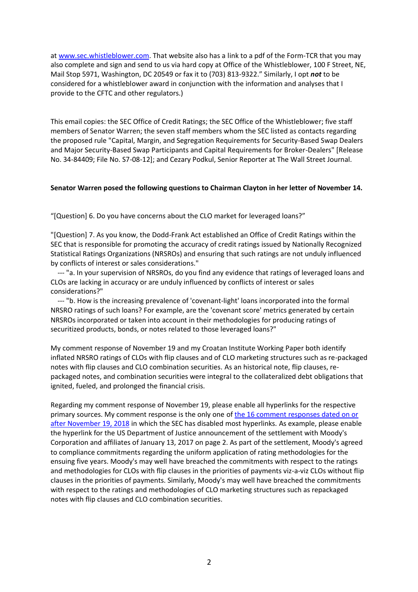at [www.sec.whistleblower.com.](http://www.sec.whistleblower.com/) That website also has a link to a pdf of the Form-TCR that you may also complete and sign and send to us via hard copy at Office of the Whistleblower, 100 F Street, NE, Mail Stop 5971, Washington, DC 20549 or fax it to (703) 813-9322." Similarly, I opt *not* to be considered for a whistleblower award in conjunction with the information and analyses that I provide to the CFTC and other regulators.)

This email copies: the SEC Office of Credit Ratings; the SEC Office of the Whistleblower; five staff members of Senator Warren; the seven staff members whom the SEC listed as contacts regarding the proposed rule "Capital, Margin, and Segregation Requirements for Security-Based Swap Dealers and Major Security-Based Swap Participants and Capital Requirements for Broker-Dealers" [Release No. 34-84409; File No. S7-08-12]; and Cezary Podkul, Senior Reporter at The Wall Street Journal.

## **Senator Warren posed the following questions to Chairman Clayton in her letter of November 14.**

"[Question] 6. Do you have concerns about the CLO market for leveraged loans?"

"[Question] 7. As you know, the Dodd-Frank Act established an Office of Credit Ratings within the SEC that is responsible for promoting the accuracy of credit ratings issued by Nationally Recognized Statistical Ratings Organizations (NRSROs) and ensuring that such ratings are not unduly influenced by conflicts of interest or sales considerations."

--- "a. In your supervision of NRSROs, do you find any evidence that ratings of leveraged loans and CLOs are lacking in accuracy or are unduly influenced by conflicts of interest or sales considerations?"

--- "b. How is the increasing prevalence of 'covenant-light' loans incorporated into the formal NRSRO ratings of such loans? For example, are the 'covenant score' metrics generated by certain NRSROs incorporated or taken into account in their methodologies for producing ratings of securitized products, bonds, or notes related to those leveraged loans?"

My comment response of November 19 and my Croatan Institute Working Paper both identify inflated NRSRO ratings of CLOs with flip clauses and of CLO marketing structures such as re-packaged notes with flip clauses and CLO combination securities. As an historical note, flip clauses, repackaged notes, and combination securities were integral to the collateralized debt obligations that ignited, fueled, and prolonged the financial crisis.

Regarding my comment response of November 19, please enable all hyperlinks for the respective primary sources. My comment response is the only one of [the 16 comment responses dated on or](https://www.sec.gov/comments/s7-08-12/s70812.shtml)  [after November 19, 2018](https://www.sec.gov/comments/s7-08-12/s70812.shtml) in which the SEC has disabled most hyperlinks. As example, please enable the hyperlink for the US Department of Justice announcement of the settlement with Moody's Corporation and affiliates of January 13, 2017 on page 2. As part of the settlement, Moody's agreed to compliance commitments regarding the uniform application of rating methodologies for the ensuing five years. Moody's may well have breached the commitments with respect to the ratings and methodologies for CLOs with flip clauses in the priorities of payments viz-a-viz CLOs without flip clauses in the priorities of payments. Similarly, Moody's may well have breached the commitments with respect to the ratings and methodologies of CLO marketing structures such as repackaged notes with flip clauses and CLO combination securities.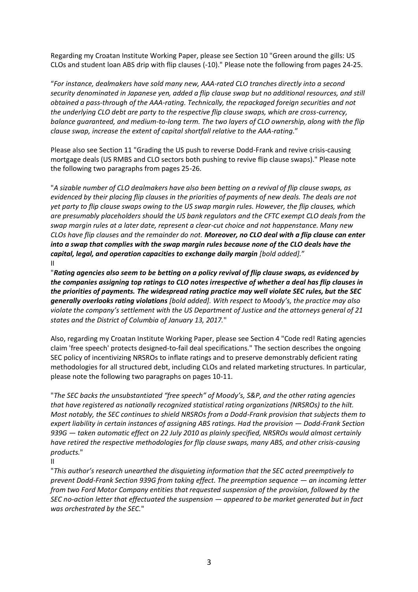Regarding my Croatan Institute Working Paper, please see Section 10 "Green around the gills: US CLOs and student loan ABS drip with flip clauses (-10)." Please note the following from pages 24-25.

"*For instance, dealmakers have sold many new, AAA-rated CLO tranches directly into a second security denominated in Japanese yen, added a flip clause swap but no additional resources, and still obtained a pass-through of the AAA-rating. Technically, the repackaged foreign securities and not the underlying CLO debt are party to the respective flip clause swaps, which are cross-currency, balance guaranteed, and medium-to-long term. The two layers of CLO ownership, along with the flip clause swap, increase the extent of capital shortfall relative to the AAA-rating.*"

Please also see Section 11 "Grading the US push to reverse Dodd-Frank and revive crisis-causing mortgage deals (US RMBS and CLO sectors both pushing to revive flip clause swaps)." Please note the following two paragraphs from pages 25-26.

"*A sizable number of CLO dealmakers have also been betting on a revival of flip clause swaps, as evidenced by their placing flip clauses in the priorities of payments of new deals. The deals are not yet party to flip clause swaps owing to the US swap margin rules. However, the flip clauses, which are presumably placeholders should the US bank regulators and the CFTC exempt CLO deals from the swap margin rules at a later date, represent a clear-cut choice and not happenstance. Many new CLOs have flip clauses and the remainder do not. Moreover, no CLO deal with a flip clause can enter into a swap that complies with the swap margin rules because none of the CLO deals have the capital, legal, and operation capacities to exchange daily margin [bold added].*" II

"*Rating agencies also seem to be betting on a policy revival of flip clause swaps, as evidenced by the companies assigning top ratings to CLO notes irrespective of whether a deal has flip clauses in the priorities of payments. The widespread rating practice may well violate SEC rules, but the SEC generally overlooks rating violations [bold added]. With respect to Moody's, the practice may also violate the company's settlement with the US Department of Justice and the attorneys general of 21 states and the District of Columbia of January 13, 2017.*"

Also, regarding my Croatan Institute Working Paper, please see Section 4 "Code red! Rating agencies claim 'free speech' protects designed-to-fail deal specifications." The section describes the ongoing SEC policy of incentivizing NRSROs to inflate ratings and to preserve demonstrably deficient rating methodologies for all structured debt, including CLOs and related marketing structures. In particular, please note the following two paragraphs on pages 10-11.

"*The SEC backs the unsubstantiated "free speech" of Moody's, S&P, and the other rating agencies that have registered as nationally recognized statistical rating organizations (NRSROs) to the hilt. Most notably, the SEC continues to shield NRSROs from a Dodd-Frank provision that subjects them to expert liability in certain instances of assigning ABS ratings. Had the provision — Dodd-Frank Section 939G — taken automatic effect on 22 July 2010 as plainly specified, NRSROs would almost certainly have retired the respective methodologies for flip clause swaps, many ABS, and other crisis-causing products.*"

II

"*This author's research unearthed the disquieting information that the SEC acted preemptively to prevent Dodd-Frank Section 939G from taking effect. The preemption sequence — an incoming letter from two Ford Motor Company entities that requested suspension of the provision, followed by the SEC no-action letter that effectuated the suspension — appeared to be market generated but in fact was orchestrated by the SEC.*"